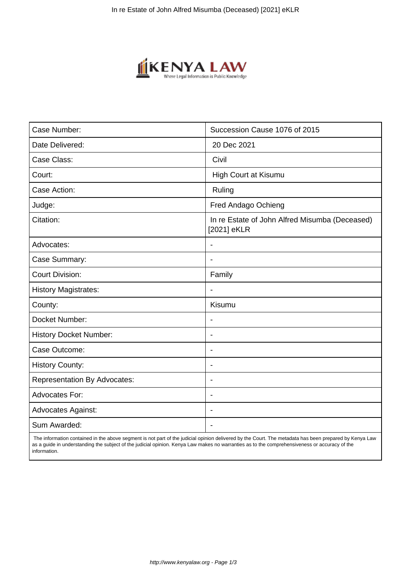

| Case Number:                        | Succession Cause 1076 of 2015                                 |
|-------------------------------------|---------------------------------------------------------------|
| Date Delivered:                     | 20 Dec 2021                                                   |
| Case Class:                         | Civil                                                         |
| Court:                              | High Court at Kisumu                                          |
| Case Action:                        | Ruling                                                        |
| Judge:                              | Fred Andago Ochieng                                           |
| Citation:                           | In re Estate of John Alfred Misumba (Deceased)<br>[2021] eKLR |
| Advocates:                          |                                                               |
| Case Summary:                       | $\blacksquare$                                                |
| <b>Court Division:</b>              | Family                                                        |
| <b>History Magistrates:</b>         | $\blacksquare$                                                |
| County:                             | Kisumu                                                        |
| Docket Number:                      |                                                               |
| <b>History Docket Number:</b>       | $\blacksquare$                                                |
| Case Outcome:                       | $\overline{\phantom{0}}$                                      |
| <b>History County:</b>              | $\overline{\phantom{a}}$                                      |
| <b>Representation By Advocates:</b> | $\blacksquare$                                                |
| Advocates For:                      | $\blacksquare$                                                |
| <b>Advocates Against:</b>           | $\blacksquare$                                                |
| Sum Awarded:                        |                                                               |

 The information contained in the above segment is not part of the judicial opinion delivered by the Court. The metadata has been prepared by Kenya Law as a guide in understanding the subject of the judicial opinion. Kenya Law makes no warranties as to the comprehensiveness or accuracy of the information.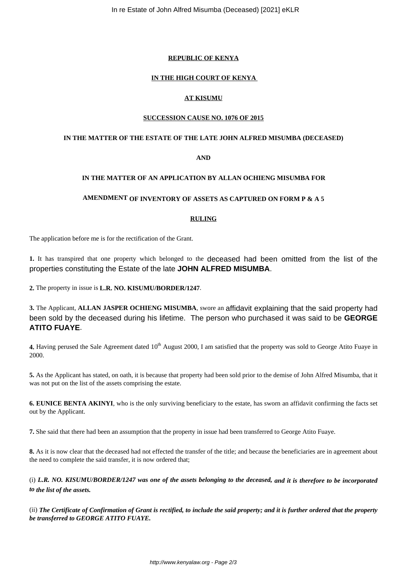# **REPUBLIC OF KENYA**

# **IN THE HIGH COURT OF KENYA**

# **AT KISUMU**

## **SUCCESSION CAUSE NO. 1076 OF 2015**

#### **IN THE MATTER OF THE ESTATE OF THE LATE JOHN ALFRED MISUMBA (DECEASED)**

# **AND**

# **IN THE MATTER OF AN APPLICATION BY ALLAN OCHIENG MISUMBA FOR**

#### **AMENDMENT OF INVENTORY OF ASSETS AS CAPTURED ON FORM P & A 5**

## **RULING**

The application before me is for the rectification of the Grant.

**1.** It has transpired that one property which belonged to the deceased had been omitted from the list of the properties constituting the Estate of the late **JOHN ALFRED MISUMBA**.

**2.** The property in issue is **L.R. NO. KISUMU/BORDER/1247**.

**3.** The Applicant, **ALLAN JASPER OCHIENG MISUMBA**, swore an affidavit explaining that the said property had been sold by the deceased during his lifetime. The person who purchased it was said to be **GEORGE ATITO FUAYE**.

**4.** Having perused the Sale Agreement dated 10<sup>th</sup> August 2000, I am satisfied that the property was sold to George Atito Fuaye in 2000.

**5.** As the Applicant has stated, on oath, it is because that property had been sold prior to the demise of John Alfred Misumba, that it was not put on the list of the assets comprising the estate.

**6. EUNICE BENTA AKINYI**, who is the only surviving beneficiary to the estate, has sworn an affidavit confirming the facts set out by the Applicant.

**7.** She said that there had been an assumption that the property in issue had been transferred to George Atito Fuaye.

**8.** As it is now clear that the deceased had not effected the transfer of the title; and because the beneficiaries are in agreement about the need to complete the said transfer, it is now ordered that;

(i) *L.R. NO. KISUMU/BORDER/1247 was one of the assets belonging to the deceased, and it is therefore to be incorporated to the list of the assets.*

(ii) *The Certificate of Confirmation of Grant is rectified, to include the said property; and it is further ordered that the property be transferred to GEORGE ATITO FUAYE.*